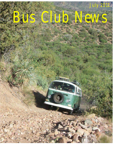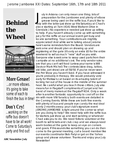### *Jerome Jamboree XXI Dates: September 16th, 17th and 18th 2011*

### **Behind the Wheel**



**More Grease!** *...or more elbows. It's going to take some of each to finish the bus in time!*

### **Don't Cry!**

*...working on the raffle bus doesn't have to be all work! Come to Saturday's party and find out!*

 **ABC Newsletter July** 

uly in Arizona can only mean one thing; lots of preparation for the Jamboree and plenty of elbow grease being used on the raffle bus. If you'd like to help with the latter just show up this Saturday at Chad's place starting at 7am (4141 West Waltann Drive in Glendale.) No experience needed just show up willing to help. If you haven't already come up with something juicy for the raffle at our annual event get busy and locate something. Your contributions are mightily appreciated! And while we're talking about Jerome here's some reminders from the Board: Vendors are welcome and should plan on showing up and registering at the gate (it's only an extra \$5 for the entire weekend to sell as much "new" stuff as you wish. Everyone else is welcome to swap used parts from their campsite at no additional cost. The only vendor rules are that you can't sell food (unless your name is Will Davis or Mark Michel) The contests (slow drag, tattoo, old bike, pet show) are all 50/50. If you've never seen the Pet Show you haven't lived. If you have witnessed it you're probably in therapy. We would probably vote early for Melissa's cat based on its amazing talent of locking her out of the house in the middle of the summer heat. Be careful what you teach those critters. July also means fun in Flagstaff compliments of Janyel and her band of merry makers at the Flagstaff KOA. Only a week after is another fantastic opportunity to cool off on the rim with more VW fanatics; both events are detailed in the Coming Events. While these are both fine events with plenty of bus and people eye candy the real deal is only 2 months away; your club's signature event JEROME JAMBOREE is right around the corner so what are you doing to help? We need help with the raffle bus for starters; just show up and start sanding or whatever Chad asks you to do. We need folks to volunteer at the booth to sell tickets and club crap and we always need warm bodies at the gate to keep an eye on comers and goers. If this sounds like something you can do then come to the general meeting, call a board member like our events coordinator Bob Patyi or get on the Yahoo group and please volunteer. Thanks and enjoy your July Newsletter!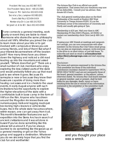*Jerome Jamboree XXI Dates: September 16th, 17th and 18th 2011* President Melissa Jess 602-867-7672 Vice President Nancy Axtell 480-251-7885 Treasurer Phil Gantchev 602-625-0416 Secretary Gary Lampinen 602-881-1291 Events Bob Patyi 623-694-0404 Membership Chris Lee 480-241-7025 Sergeant at Arms Will Davis 602-403-0966

> f one comes to a general meeting, work party or event they are liable to meet<br>I someone who shares the same philosophy about old VW's. Whether you joined the club to learn more about your ride or to get involved with campouts or shows you are among friends, and lots of them! But what if your interest lies somewhere off the beaten path? How many times have you driven down the highway and noticed a dirt road leading up into the mountains and asked yourself, "Where does that go?" There are a small number of club members who enjoy exploring the less civilized parts of the state and would probably follow you up that road just to see where it goes. Because it's someplace new or because they know their buses are capable of doing more than hauling carcasses and ice chests to the usual events. In early August anyone with such inclinations has the opportunity to explore the higher elevations of the state with a comfortable built in base camp in the form of VW's on the Rim. Anyone who has driven around the Mogollon rim knows there are numerous jeep trails and logging roads just beckoning high-clearance vehicles like buses. Heck the whole state has areas where, within reason, one can get away from it all. This month's Newsletter features one such expedition into the Sierra Anchas in search of ancient civilizations and it was all done in buses! If you've done something like this please tell us about it. If you've always wanted to do something like this speak up at a general meeting or get on the Yahoo group and suggest a destination. Whatever you do we sincerely hope that you find the club fun and worthwhile!

The Arizona Bus Club is an official non-profit organization. That means that your donations may now be tax deductible. Consult your tax advisor, then donate till it hurts.

The club general meeting takes place on the third Wednesday of the month at Rosita's 960 West University in Tempe Arizona 85281. It's on the Northeast corner of the intersection of University and Hardy and usually gets going at 7pm.

Membership is \$20 per. Mail your dues to ABC Membership PO Box 65001 Phoenix, AZ 85082 or contact our membership chick Chris Lee @ 480-241- 7025

If seeing your ABC friends at meetings and campouts isn't enough, you can now communicate with other members via the Arizona Bus Club Yahoo email group. You can plan an impromptu campout, invite everyone to the drive-in on short notice, or just talk buses. To subscribe just send an email to **arizonabusclubsubscribe@yahoogroups.com** and start enjoying the fun!

#### Disclaimer:

The views and opinions expressed in the Arizona Bus Club newsletter are those of the individual contributors (monkeys chained to typewriters! PETA, SEND HELP NOW!) and are not necessarily those of the board, general members or the editors, unless otherwise stated. No Arizona Bus Club board member or general member, past or present, shall be held liable for any damages, death, injury or harm resulting from the use or misuse of any information contained in the newsletter or the newsletter itself. Enjoy News online at Arizonabuscom!



and you thought your place was a wreck.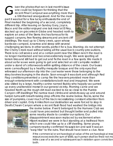iven the photos that ran in last month's issue iven the photos that ran in last month's issue<br>one could be forgiven for thinking that the<br>recent Pinal Campout was anything more than<br>a VW-themed smorgasbord. And for the most a VW-themed smorgasbord. And for the most part it was but for a few lucky enthusiasts the end of Pinal marked the beginning of a second, completely different trip. After leaving on Sunday Gary, Joyce, Bruce and the editor enjoyed one last meal at El Rey, stocked up on groceries in Globe and headed north to explore an area of the Sierra Anchas famous for its rugged canyons, free flowing streams and ancient cliff dwellings. The road up to Cherry creek, upon whose banks we camped, is narrow and steep with several



challenging sections. In other words, perfect for a bus. Warning; do not attempt the Cherry Creek road without taking all the usual back country precautions. There is no cell service and at a certain point near the Ellison ranch the road is no longer maintained and becomes extremely rough. We were sporting all terrain tires and still had to get out and fix the road in a few spots. We made it about as far as we were going to get and selected an old campsite nestled under a stand of cottonwoods within spitting distance of the creek. Our buses were camouflaged by a healthy mesquite bosque and the only eyes that witnessed our afternoon dip into the cool water were those belonging to the stray bovines lounging in the shade. Soon enough it was dark and although Red Flag conditions prevented a camp fire the heavens provided more than enough entertainment with constellations both real and imagined. We were also visited by a large, healthy canine named Buddy who happily vacuumed up every unattended morsel in our general vicinity. Morning came and we headed North up the rough dirt road excited to be so close to the Pueblo Canyon cliff dwellings! The narrow road climbs and winds its way up and around hairpin turns with breath-taking drop offs into the ravine below. Rocks, some the size of pumpkins, cover much of the track necessitating constant attention from driver and copilot. Only 4 miles from our destination we were forced to stop in Devil's Chasm Canyon where a recent flash flood had washed the bridge into



the ravine below. If we'd belonged to the Humvee Club we could have proceeded but thought better and pulled into some nearby shade to consider our options. Our disappointment was soon replaced by excitement when Hilpert realized we were in fact standing at a trailhead from which one could hike up to a cliff dwelling. Some young campers nearby confirmed his suspicion and said it was an "easy hike" to the ruins. That should have been a clue. Now

*if the commercial or archaeological value of the archaeological resderif the commercial or archaeological resources exceeds the sum of \$500, such person shall be fined not more* Inthe case of a second or subsequent such violation upon conviction *both.*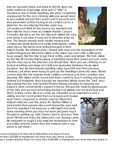that he has been there and lived to tell the story, the that he has been there and lived to tell the story, the<br>editor wishes to emphasize what sort of "hike" is<br>required to reach these dwellings. We were completely<br>unprepared for the rock climbing skills one would need unprepared for the rock climbing skills one would need to successfully ascend this canyon and it was only luck that prevented us from having to be carried out on a stretcher. Do not attempt this hike under any circumstances! Wait for the road to be repaired and then visit the much more accessible Pueblo Canyon Complex. But since we did the hike and visited the ruins and made it out alive it's only fair to describe what we saw. The Salado people were master masons and constructed these sturdy and easily defendable castles using heavy, flat stones and timbers brought in from



distant forests. The interiors were chinked with mud and the impressions of the builder's fingers are still plainly visible in the dried clay even after 1,000 years have passed. But the hike to get there is HELL, plain and simple. The trail, visible for the first 30 minutes follows along a babbling brook then peters out and cairns are the only clue to the direction one should take. Soon you are climbing on all fours scrambling over large rock falls and squeezing between house-sized. boulders. Two sections require repelling using ropes left over from previous climbers. Just when were ready to give up the dwellings came into view. Words cannot describe the majesty these castles command and their condition was stunning. We visited all the rooms and were careful to touch nothing and leave nothing but footprints. Soon enough we departed sliding down the "trail" soon discovering that the only handles Mother Nature provided for keeping our balance were conveniently covered in thorns. This was the most dangerous part of the hike and we took turns losing footing and sliding over rocks as hard and sharp as they come. Back at camp we marveled at our experience and a

visiting rancher commented that our scrapes and bruises were minor compared to several unlucky hikers he'd helped extricate over the years. Mr. Nathan Ellison is descended from pioneer stock and knows the area well. Don't be surprised if he pays you a visit bright and early some morning when you may not have yet given much thought to getting up. Visit Cherry Creek in your bus. Take some friends and enjoy the vistas and cool, flowing creek. Be prepared to rough it and resist the temptation to take any artifacts home (other than the museum piece you drove to get there.)

*if the commercial or archaeological value of the archaeological resources involved and thecost of restoration and repair of such*  re than \$20,000 or imprisoned not more than two years, or both. such person shall be fined not more than \$100,000, or imprisoned not more than five years, or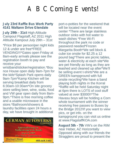## A BC Coming Events!

registration booth to pay and<br>registration booth to pay and water & electricity at each site\*We<br>receive your are pat friendly as long as they are

nce House open daily 9am-7pm for be selling event t-shirts\*We are a the kids\*Splash Park opens daily<br>
9am-7pm\*Kamp Kitchen will be onsite recycling\*We have a ba 9am-7pm\*Kamp Kitchen will be onsite recycling\*We have a band<br>Serving breakfast daily from the playing both pights in the Korral store.\*Bathroom/showers & receiving free passes to Buses by<br>laundry facilities open 24 hours a the Bridge 2012If you want to view day, we have brought in additional



**July 23rd Raffle Bus Work Party** port-o-potties for the weekend that **4141 Waltann Drive Glendale** will be located near the event<br> **July 29th - 31st** High Altitude<br>
Campout Flagstaff, AZ 2011 High outdoor sinks with hot water to<br>
Altitude Kampout July 29th – 31st wash dishes \*Free Wi-Fi<br>
\* receive your<br>wristband/sticker/registration.\*Bou are pet friendly as long as they are<br>leashed and cleaned up after\*We'll leashed and cleaned up after\*We'll serving breakfast daily from<br>
6:30am-10:30am\*On site grocery<br>
store selling beer, wine, soda, food<br>
and VW gear open daily from 8am-<br>
9pm.\*There is free morning coffee<br>
and a usable microwave in the<br>
and a usable microwave the Bridge 2012!If you want to view pics, or get info. on the kampground you can visit us online at www.FlagstaffKOA.com

**August 5th - 7th** VW's on the RIM<br>near Heber, AZ Horizontally<br>Opposed along with our friends the<br>Stragglers are proud to present the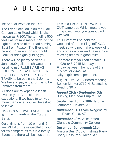# A BC Coming Events!

The Event location is on the Black<br>Canyon Lake Road which is also<br>known as Fr300.The turn off is 500<br>feet East of mile marker 291 on the This Event will be held the<br>right hand side of the road coming weekend after the Flag be about 1 mile in on your right. and come on over and have a nice<br>Look for the signs guiding you. relaxing time with good folks.

Look for the signs guiding you.<br>There will be plenty of clean J-Johns.600 gallon fresh water tank for all to use.RULES ARE AS FOLLOWS:PLEASE, NO BEER til 5 pm. or e-mail at be selling til 5 pm. or e-mail at be selling event to sell in t<br>BOTTLES, BABY DIAPERS, or and altydog@commspeed.net. BOTTLES, BABY DIAPERS, or TRASH to be put in the J-Johns.

TRASH to be put in the J-Johns.<br>
We have to pay extra for this to be<br>
removed from them.<br>
All dogs are to kept on a leash<br>
even in your Campsite. No<br>
exceptions. If we have to tell you<br>
more than once, you will be asked<br>
S more than once, you will be asked  $\begin{array}{c} \text{September} \quad \text{10th} - \text{18th} \\ \text{1000} \quad \text{1100} \quad \text{1200} \end{array}$ 

 $is a$  rule set forth by the Forest

Quiet time is from 10 pm until 6 am. PLEASE be respectful of your **December 9th through 11th** fellow campers as this is a family Arizona Bus Club Christmas I fellow campers as this is a family Arizona Bus Club Christmas Party,<br>Event and there will be kids there. The also were park. Mesa, AZ

1st Annual VW's on the Rim. This is a PACK IT IN, PACK IT

right hand side of the road coming weekend after the Flagstaff KOA<br>East from Payson. The Event will meet, so why not make a week of it<br>he about 1 mile in on your right and come on over and have a nice

For more info you can contact J.D.<br>at 928-848-7915 Monday thru Friday between the hours of 8 am til 5 pm. or e-mail at

No ATV's ALLOWED AT ALL. This **November 11-13** Volkswagens by day, we have been added to the River, Yuma, AZ

Service, November 13th Volkstreffen, November 13th Volkstreffen, at what we are at a more community College.

Usery Pass Park, Mesa, AZ